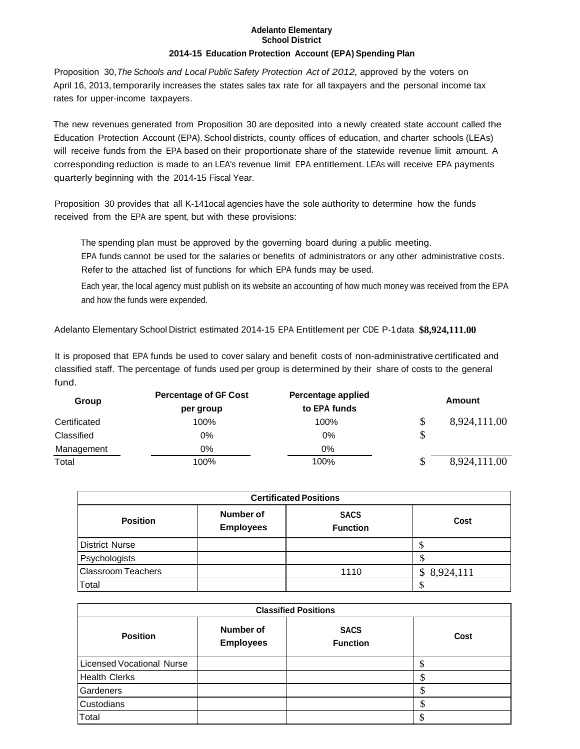## **Adelanto Elementary School District**

## **2014-15 Education Protection Account (EPA) Spending Plan**

Proposition 30,*The Schools and Local Public Safety Protection Act of 2012,* approved by the voters on April 16, 2013, temporarily increases the states sales tax rate for all taxpayers and the personal income tax rates for upper-income taxpayers.

The new revenues generated from Proposition 30 are deposited into a newly created state account called the Education Protection Account (EPA). School districts, county offices of education, and charter schools (LEAs) will receive funds from the EPA based on their proportionate share of the statewide revenue limit amount. A corresponding reduction is made to an LEA's revenue limit EPA entitlement. LEAs will receive EPA payments quarterly beginning with the 2014-15 Fiscal Year.

Proposition 30 provides that all K-141ocal agencies have the sole authority to determine how the funds received from the EPA are spent, but with these provisions:

The spending plan must be approved by the governing board during a public meeting. EPA funds cannot be used for the salaries or benefits of administrators or any other administrative costs. Refer to the attached list of functions for which EPA funds may be used.

Each year, the local agency must publish on its website an accounting of how much money was received from the EPA and how the funds were expended.

Adelanto Elementary School District estimated 2014-15 EPA Entitlement per CDE P-1data **\$8,924,111.00**

It is proposed that EPA funds be used to cover salary and benefit costs of non-administrative certificated and classified staff. The percentage of funds used per group is determined by their share of costs to the general fund.

| Group        | <b>Percentage of GF Cost</b><br>per group | Percentage applied<br>to EPA funds | Amount             |
|--------------|-------------------------------------------|------------------------------------|--------------------|
| Certificated | 100%                                      | 100%                               | \$<br>8,924,111.00 |
| Classified   | 0%                                        | $0\%$                              | \$                 |
| Management   | $0\%$                                     | 0%                                 |                    |
| Total        | 100%                                      | 100%                               | \$<br>8,924,111.00 |

| <b>Certificated Positions</b> |                               |                                |             |  |  |  |
|-------------------------------|-------------------------------|--------------------------------|-------------|--|--|--|
| <b>Position</b>               | Number of<br><b>Employees</b> | <b>SACS</b><br><b>Function</b> | Cost        |  |  |  |
| <b>District Nurse</b>         |                               |                                |             |  |  |  |
| Psychologists                 |                               |                                |             |  |  |  |
| <b>Classroom Teachers</b>     |                               | 1110                           | \$8,924,111 |  |  |  |
| Total                         |                               |                                |             |  |  |  |

| <b>Classified Positions</b>      |                               |                                |         |  |  |  |
|----------------------------------|-------------------------------|--------------------------------|---------|--|--|--|
| <b>Position</b>                  | Number of<br><b>Employees</b> | <b>SACS</b><br><b>Function</b> | Cost    |  |  |  |
| <b>Licensed Vocational Nurse</b> |                               |                                |         |  |  |  |
| <b>Health Clerks</b>             |                               |                                | ۰D      |  |  |  |
| Gardeners                        |                               |                                | ۰D      |  |  |  |
| Custodians                       |                               |                                | Φ<br>ъD |  |  |  |
| Total                            |                               |                                |         |  |  |  |